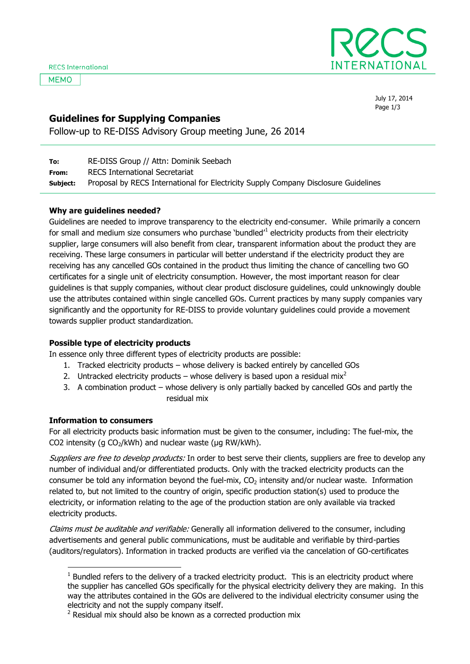**MEMO** 



July 17, 2014 Page 1/3

# **Guidelines for Supplying Companies**

Follow-up to RE-DISS Advisory Group meeting June, 26 2014

| To:      | RE-DISS Group // Attn: Dominik Seebach                                              |
|----------|-------------------------------------------------------------------------------------|
| From:    | RECS International Secretariat                                                      |
| Subject: | Proposal by RECS International for Electricity Supply Company Disclosure Guidelines |

## **Why are guidelines needed?**

Guidelines are needed to improve transparency to the electricity end-consumer. While primarily a concern for small and medium size consumers who purchase 'bundled'<sup>1</sup> electricity products from their electricity supplier, large consumers will also benefit from clear, transparent information about the product they are receiving. These large consumers in particular will better understand if the electricity product they are receiving has any cancelled GOs contained in the product thus limiting the chance of cancelling two GO certificates for a single unit of electricity consumption. However, the most important reason for clear guidelines is that supply companies, without clear product disclosure guidelines, could unknowingly double use the attributes contained within single cancelled GOs. Current practices by many supply companies vary significantly and the opportunity for RE-DISS to provide voluntary guidelines could provide a movement towards supplier product standardization.

# **Possible type of electricity products**

In essence only three different types of electricity products are possible:

- 1. Tracked electricity products whose delivery is backed entirely by cancelled GOs
- 2. Untracked electricity products whose delivery is based upon a residual mix<sup>2</sup>
- 3. A combination product whose delivery is only partially backed by cancelled GOs and partly the residual mix

#### **Information to consumers**

-

For all electricity products basic information must be given to the consumer, including: The fuel-mix, the CO2 intensity (g  $CO<sub>2</sub>/kWh$ ) and nuclear waste (µg RW/kWh).

Suppliers are free to develop products: In order to best serve their clients, suppliers are free to develop any number of individual and/or differentiated products. Only with the tracked electricity products can the consumer be told any information beyond the fuel-mix,  $CO<sub>2</sub>$  intensity and/or nuclear waste. Information related to, but not limited to the country of origin, specific production station(s) used to produce the electricity, or information relating to the age of the production station are only available via tracked electricity products.

Claims must be auditable and verifiable: Generally all information delivered to the consumer, including advertisements and general public communications, must be auditable and verifiable by third-parties (auditors/regulators). Information in tracked products are verified via the cancelation of GO-certificates

 $1$  Bundled refers to the delivery of a tracked electricity product. This is an electricity product where the supplier has cancelled GOs specifically for the physical electricity delivery they are making. In this way the attributes contained in the GOs are delivered to the individual electricity consumer using the electricity and not the supply company itself.

 $2$  Residual mix should also be known as a corrected production mix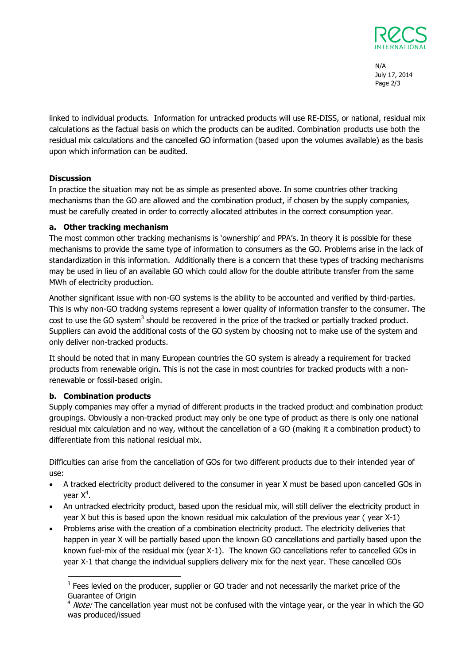

N/A July 17, 2014 Page 2/3

linked to individual products. Information for untracked products will use RE-DISS, or national, residual mix calculations as the factual basis on which the products can be audited. Combination products use both the residual mix calculations and the cancelled GO information (based upon the volumes available) as the basis upon which information can be audited.

# **Discussion**

In practice the situation may not be as simple as presented above. In some countries other tracking mechanisms than the GO are allowed and the combination product, if chosen by the supply companies, must be carefully created in order to correctly allocated attributes in the correct consumption year.

#### **a. Other tracking mechanism**

The most common other tracking mechanisms is 'ownership' and PPA's. In theory it is possible for these mechanisms to provide the same type of information to consumers as the GO. Problems arise in the lack of standardization in this information. Additionally there is a concern that these types of tracking mechanisms may be used in lieu of an available GO which could allow for the double attribute transfer from the same MWh of electricity production.

Another significant issue with non-GO systems is the ability to be accounted and verified by third-parties. This is why non-GO tracking systems represent a lower quality of information transfer to the consumer. The cost to use the GO system<sup>3</sup> should be recovered in the price of the tracked or partially tracked product. Suppliers can avoid the additional costs of the GO system by choosing not to make use of the system and only deliver non-tracked products.

It should be noted that in many European countries the GO system is already a requirement for tracked products from renewable origin. This is not the case in most countries for tracked products with a nonrenewable or fossil-based origin.

#### **b. Combination products**

-

Supply companies may offer a myriad of different products in the tracked product and combination product groupings. Obviously a non-tracked product may only be one type of product as there is only one national residual mix calculation and no way, without the cancellation of a GO (making it a combination product) to differentiate from this national residual mix.

Difficulties can arise from the cancellation of GOs for two different products due to their intended year of use:

- A tracked electricity product delivered to the consumer in year X must be based upon cancelled GOs in year X<sup>4</sup>.
- An untracked electricity product, based upon the residual mix, will still deliver the electricity product in year X but this is based upon the known residual mix calculation of the previous year ( year X-1)
- Problems arise with the creation of a combination electricity product. The electricity deliveries that happen in year X will be partially based upon the known GO cancellations and partially based upon the known fuel-mix of the residual mix (year X-1). The known GO cancellations refer to cancelled GOs in year X-1 that change the individual suppliers delivery mix for the next year. These cancelled GOs

 $3$  Fees levied on the producer, supplier or GO trader and not necessarily the market price of the Guarantee of Origin

 $4$  Note: The cancellation year must not be confused with the vintage year, or the year in which the GO was produced/issued